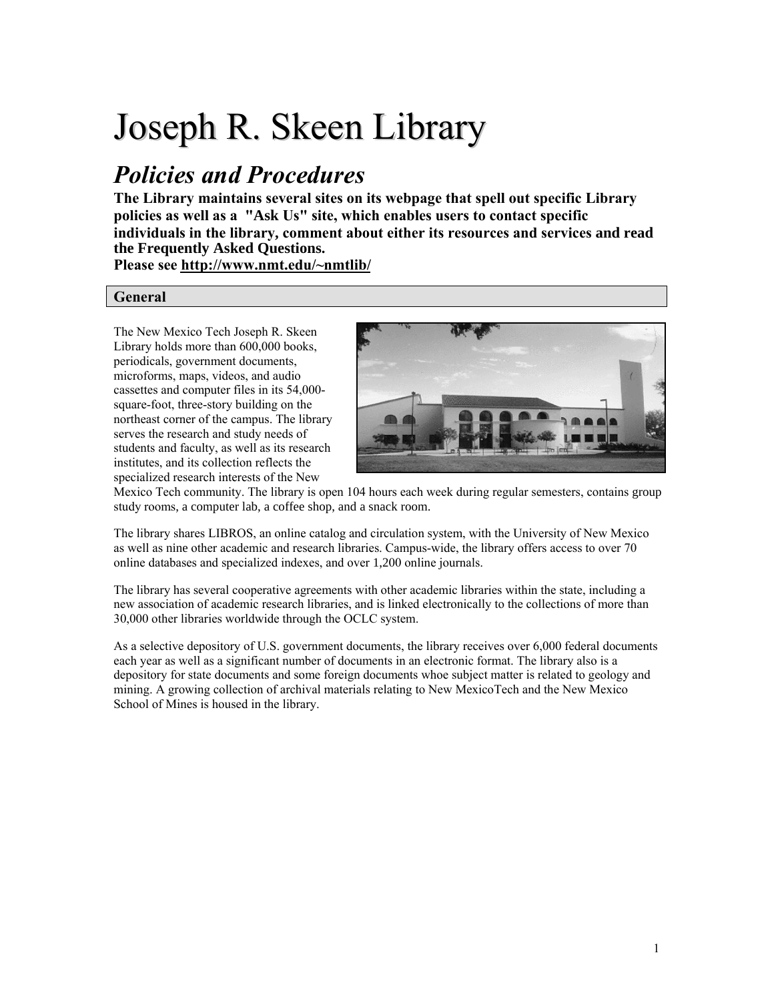# Joseph R. Skeen Library

# *Policies and Procedures*

**The Library maintains several sites on its webpage that spell out specific Library policies as well as a "Ask Us" site, which enables users to contact specific individuals in the library, comment about either its resources and services and read the Frequently Asked Questions.**

**Please see http://www.nmt.edu/~nmtlib/** 

# **General**

The New Mexico Tech Joseph R. Skeen Library holds more than 600,000 books, periodicals, government documents, microforms, maps, videos, and audio cassettes and computer files in its 54,000 square-foot, three-story building on the northeast corner of the campus. The library serves the research and study needs of students and faculty, as well as its research institutes, and its collection reflects the specialized research interests of the New



Mexico Tech community. The library is open 104 hours each week during regular semesters, contains group study rooms, a computer lab, a coffee shop, and a snack room.

The library shares LIBROS, an online catalog and circulation system, with the University of New Mexico as well as nine other academic and research libraries. Campus-wide, the library offers access to over 70 online databases and specialized indexes, and over 1,200 online journals.

The library has several cooperative agreements with other academic libraries within the state, including a new association of academic research libraries, and is linked electronically to the collections of more than 30,000 other libraries worldwide through the OCLC system.

As a selective depository of U.S. government documents, the library receives over 6,000 federal documents each year as well as a significant number of documents in an electronic format. The library also is a depository for state documents and some foreign documents whoe subject matter is related to geology and mining. A growing collection of archival materials relating to New MexicoTech and the New Mexico School of Mines is housed in the library.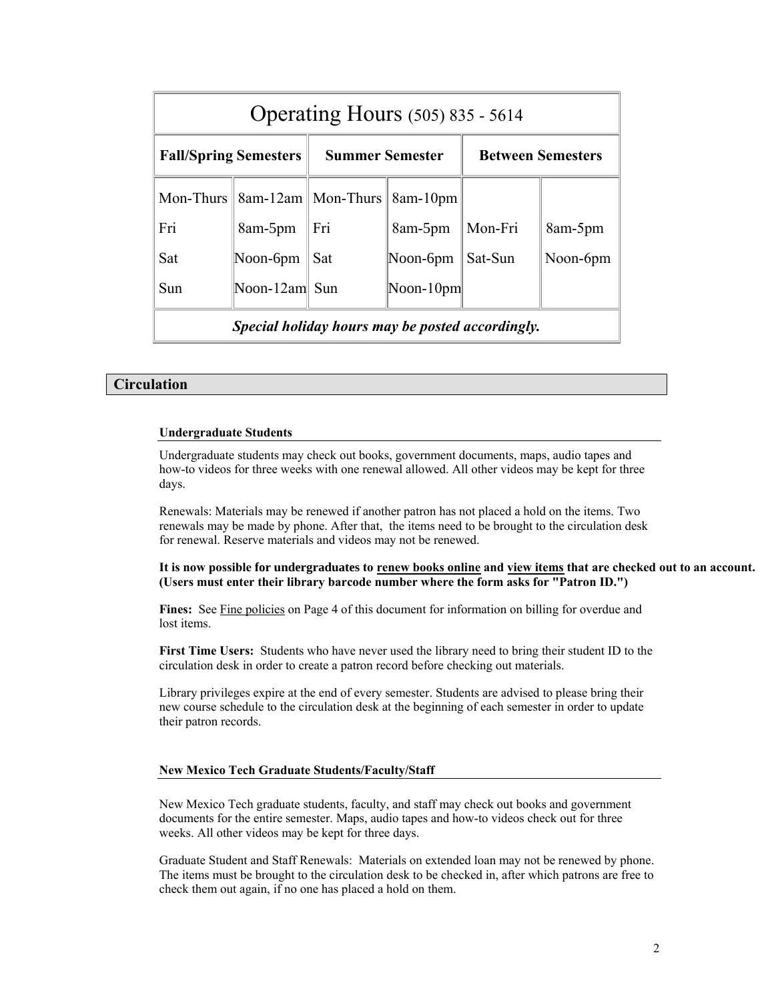| <b>Operating Hours</b> (505) 835 - 5614          |                                                      |                        |                                   |                          |          |
|--------------------------------------------------|------------------------------------------------------|------------------------|-----------------------------------|--------------------------|----------|
| <b>Fall/Spring Semesters</b>                     |                                                      | <b>Summer Semester</b> |                                   | <b>Between Semesters</b> |          |
|                                                  | Mon-Thurs $\ \times\$ 8am-12am $\ \text{Mon-Thus}\ $ |                        | 8am-10pm                          |                          |          |
| Fri                                              | 8am-5pm                                              | Fri                    | 8am-5pm                           | Mon-Fri                  | 8am-5pm  |
| Sat                                              | Noon-6pm                                             | Sat                    | Noon- $6$ pm                      | Sat-Sun                  | Noon-6pm |
| Sun                                              | Noon-12am Sun                                        |                        | $\left  \text{Noon-10pm} \right $ |                          |          |
| Special holiday hours may be posted accordingly. |                                                      |                        |                                   |                          |          |

# **Circulation**

#### **Undergraduate Students**

Undergraduate students may check out books, government documents, maps, audio tapes and how-to videos for three weeks with one renewal allowed. All other videos may be kept for three days.

Renewals: Materials may be renewed if another patron has not placed a hold on the items. Two renewals may be made by phone. After that, the items need to be brought to the circulation desk for renewal. Reserve materials and videos may not be renewed.

**It is now possible fo[r undergraduates](http://library.unm.edu/patroninfo/) to ren[ew books on](http://library.unm.edu/patroninfo/)line and view items that are checked out to an account. (Users must enter their library barcode number where the form asks for "Patron ID.")** 

Fines: See Fine [policies](http://www.nmt.edu/~nmtlib/CIRCULATION/fines.htm) on Page 4 of this document for information on billing for overdue and lost items.

**First Time Users:** Students who have never used the library need to bring their student ID to the circulation desk in order to create a patron record before checking out materials.

Library privileges expire at the end of every semester. Students are advised to please bring their new course schedule to the circulation desk at the beginning of each semester in order to update their patron records.

#### **New Mexico Tech Graduate Students/Faculty/Staff**

New Mexico Tech graduate students, faculty, and staff may check out books and government documents for the entire semester. Maps, audio tapes and how-to videos check out for three weeks. All other videos may be kept for three days.

Graduate Student and Staff Renewals: Materials on extended loan may not be renewed by phone. The items must be brought to the circulation desk to be checked in, after which patrons are free to check them out again, if no one has placed a hold on them.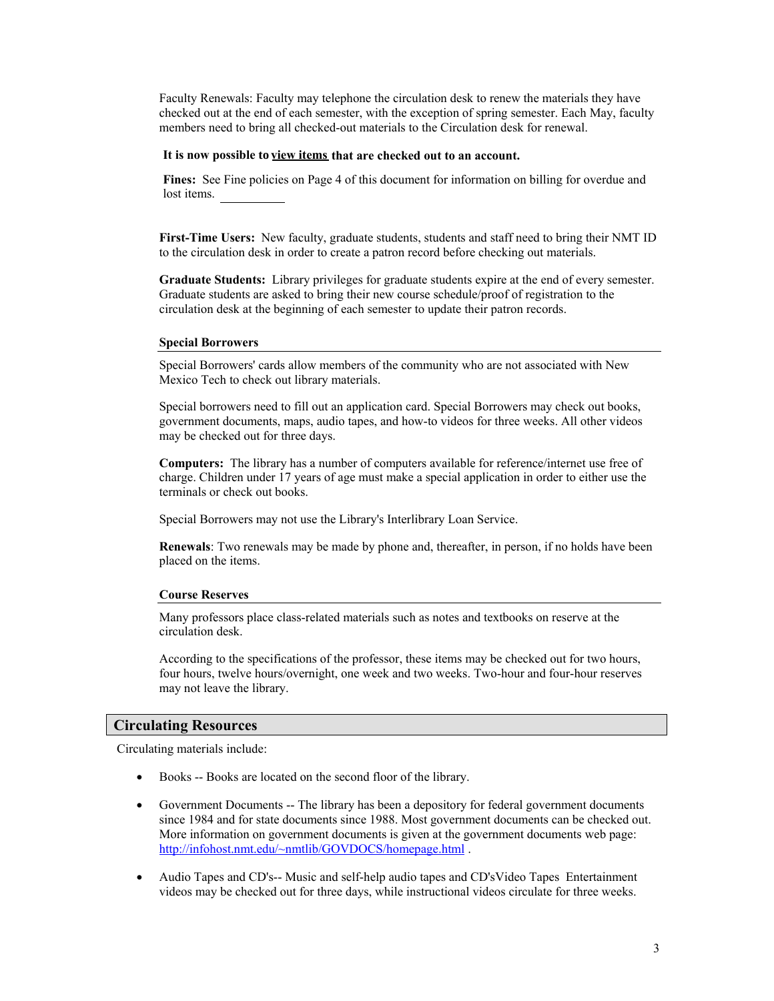Faculty Renewals: Faculty may telephone the circulation desk to renew the materials they have checked out at the end of each semester, with the exception of spring semester. Each May, faculty members need to bring all checked-out materials to the Circulation desk for renewal.

#### **It is now possible to [view items that are](http://library.unm.edu/patroninfo/) chec[ked out to a](http://library.unm.edu/patroninfo/)n account.**

**Fines:** See Fine policies on Page 4 of this document for information on billing for overdue and lost items.

**First-Time Users:** New faculty, graduate students, students and staff need to bring their NMT ID to the circulation desk in order to create a patron record before checking out materials.

**Graduate Students:** Library privileges for graduate students expire at the end of every semester. Graduate students are asked to bring their new course schedule/proof of registration to the circulation desk at the beginning of each semester to update their patron records.

#### **Special Borrowers**

Special Borrowers' cards allow members of the community who are not associated with New Mexico Tech to check out library materials.

Special borrowers need to fill out an application card. Special Borrowers may check out books, government documents, maps, audio tapes, and how-to videos for three weeks. All other videos may be checked out for three days.

**Computers:** The library has a number of computers available for reference/internet use free of charge. Children under 17 years of age must make a special application in order to either use the terminals or check out books.

Special Borrowers may not use the Library's Interlibrary Loan Service.

**Renewals**: Two renewals may be made by phone and, thereafter, in person, if no holds have been placed on the items.

#### **Course Reserves**

Many professors place class-related materials such as notes and textbooks on reserve at the circulation desk.

According to the specifications of the professor, these items may be checked out for two hours, four hours, twelve hours/overnight, one week and two weeks. Two-hour and four-hour reserves may not leave the library.

#### **Circulating Resources**

Circulating materials include:

- Books -- Books are located on the second floor of the library.
- Government Documents -- The library has been a depository for federal government documents since 1984 and for state documents since 1988. Most government documents can be checked out. More information on government documents is given at the government documents web page: <http://infohost.nmt.edu/~nmtlib/GOVDOCS/homepage.html>.
- Audio Tapes and CD's-- Music and self-help audio tapes and CD'sVideo Tapes Entertainment videos may be checked out for three days, while instructional videos circulate for three weeks.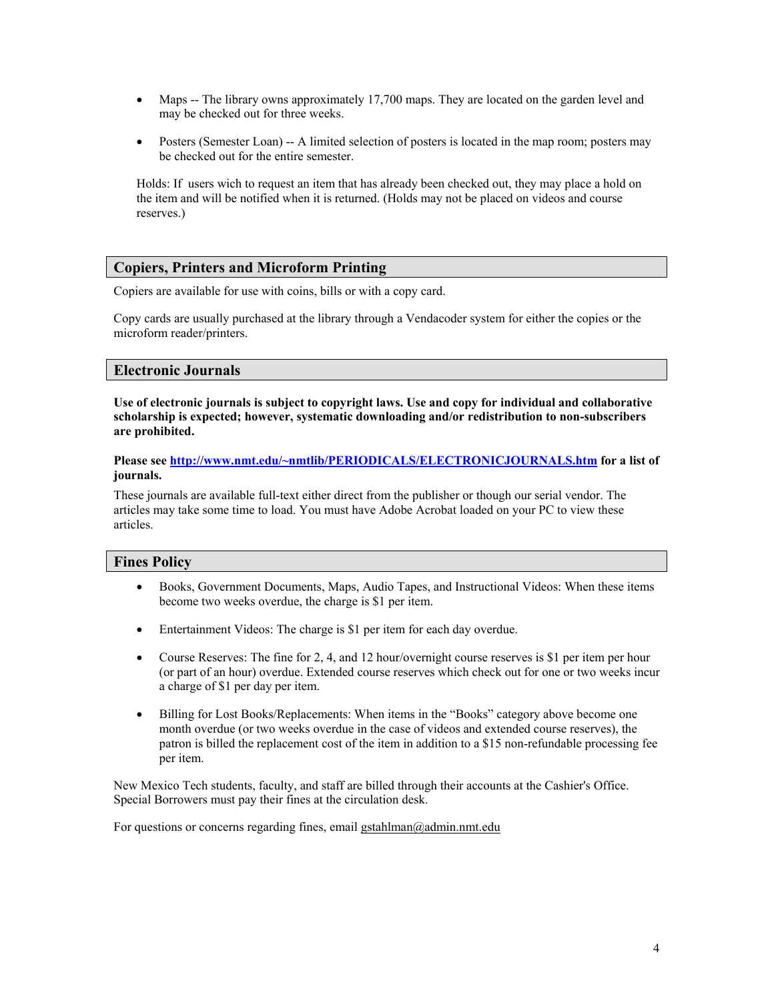- Maps -- The library owns approximately 17,700 maps. They are located on the garden level and may be checked out for three weeks.
- Posters (Semester Loan) -- A limited selection of posters is located in the map room; posters may be checked out for the entire semester.

Holds: If users wich to request an item that has already been checked out, they may place a hold on the item and will be notified when it is returned. (Holds may not be placed on videos and course reserves.)

# **Copiers, Printers and Microform Printing**

Copiers are available for use with coins, bills or with a copy card.

Copy cards are usually purchased at the library through a Vendacoder system for either the copies or the microform reader/printers.

## **Electronic Journals**

**Use of electronic journals is subject to copyright laws. Use and copy for individual and collaborative scholarship is expected; however, systematic downloading and/or redistribution to non-subscribers are prohibited.** 

**Please see <http://www.nmt.edu/~nmtlib/PERIODICALS/ELECTRONICJOURNALS.htm>for a list of journals.** 

These journals are available full-text either direct from the publisher or though our serial vendor. The articles may take some time to load. You must have Adobe Acrobat loaded on your PC to view these articles.

# **Fines Policy**

- Books, Government Documents, Maps, Audio Tapes, and Instructional Videos: When these items become two weeks overdue, the charge is \$1 per item.
- Entertainment Videos: The charge is \$1 per item for each day overdue.
- Course Reserves: The fine for 2, 4, and 12 hour/overnight course reserves is \$1 per item per hour (or part of an hour) overdue. Extended course reserves which check out for one or two weeks incur a charge of \$1 per day per item.
- Billing for Lost Books/Replacements: When items in the "Books" category above become one month overdue (or two weeks overdue in the case of videos and extended course reserves), the patron is billed the replacement cost of the item in addition to a \$15 non-refundable processing fee per item.

New Mexico Tech students, faculty, and staff are billed through their accounts at the Cashier's Office. Special Borrowers must pay their fines at the circulation desk.

For questions or concerns regarding fines, email gs[tahlman@admin.nmt.edu](mailto:gstahlman@admin.nmt.edu)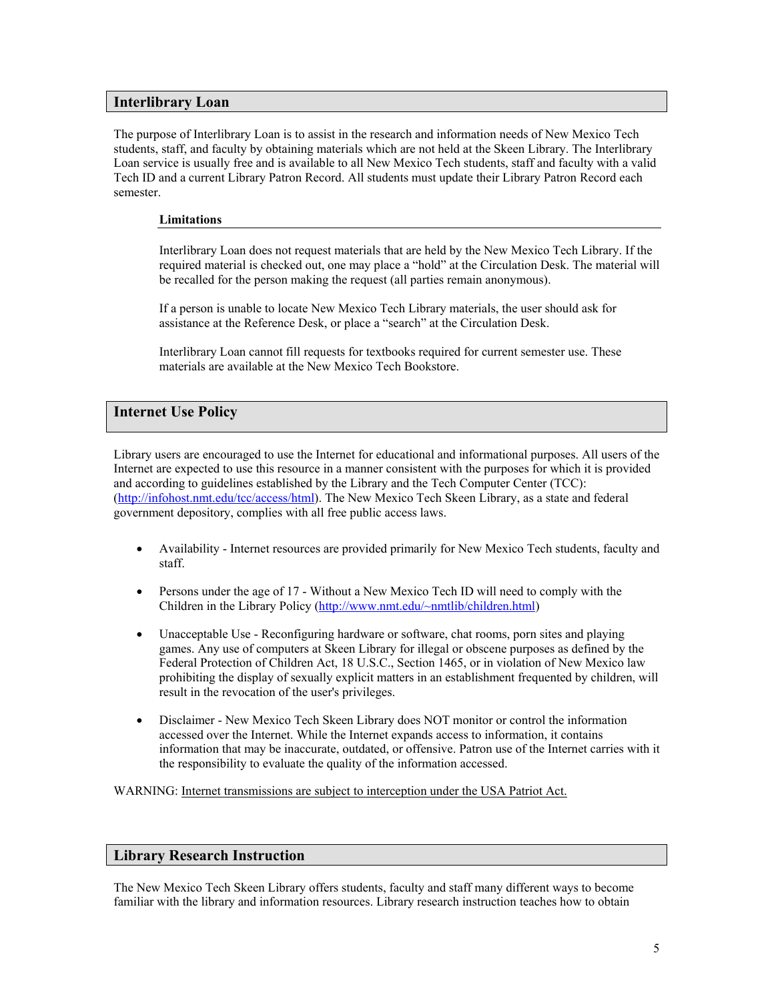# **Interlibrary Loan**

The purpose of Interlibrary Loan is to assist in the research and information needs of New Mexico Tech students, staff, and faculty by obtaining materials which are not held at the Skeen Library. The Interlibrary Loan service is usually free and is available to all New Mexico Tech students, staff and faculty with a valid Tech ID and a current Library Patron Record. All students must update their Library Patron Record each semester.

#### **Limitations**

Interlibrary Loan does not request materials that are held by the New Mexico Tech Library. If the required material is checked out, one may place a "hold" at the Circulation Desk. The material will be recalled for the person making the request (all parties remain anonymous).

If a person is unable to locate New Mexico Tech Library materials, the user should ask for assistance at the Reference Desk, or place a "search" at the Circulation Desk.

Interlibrary Loan cannot fill requests for textbooks required for current semester use. These materials are available at the New Mexico Tech Bookstore.

# **Internet Use Policy**

Library users are encouraged to use the Internet for educational and informational purposes. All users of the Internet are expected to use this resource in a manner consistent with the purposes for which it is provided and according to guidelines established by the Library and the Tech Computer Center (TCC): [\(http://infohost.nmt.edu/tcc/access/html\)](http://infohost.nmt.edu/tcc/access/html). The New Mexico Tech Skeen Library, as a state and federal government depository, complies with all free public access laws.

- Availability Internet resources are provided primarily for New Mexico Tech students, faculty and staff.
- Persons under the age of 17 Without a New Mexico Tech ID will need to comply with the Children in the Library Policy [\(http://www.nmt.edu/~nmtlib/children.html\)](http://www.nmt.edu/~nmtlib/children.html)
- Unacceptable Use Reconfiguring hardware or software, chat rooms, porn sites and playing games. Any use of computers at Skeen Library for illegal or obscene purposes as defined by the Federal Protection of Children Act, 18 U.S.C., Section 1465, or in violation of New Mexico law prohibiting the display of sexually explicit matters in an establishment frequented by children, will result in the revocation of the user's privileges.
- Disclaimer New Mexico Tech Skeen Library does NOT monitor or control the information accessed over the Internet. While the Internet expands access to information, it contains information that may be inaccurate, outdated, or offensive. Patron use of the Internet carries with it the responsibility to evaluate the quality of the information accessed.

WARNING: Internet transmissions are subject to interception under the USA Patriot Act.

#### **Library Research Instruction**

The New Mexico Tech Skeen Library offers students, faculty and staff many different ways to become familiar with the library and information resources. Library research instruction teaches how to obtain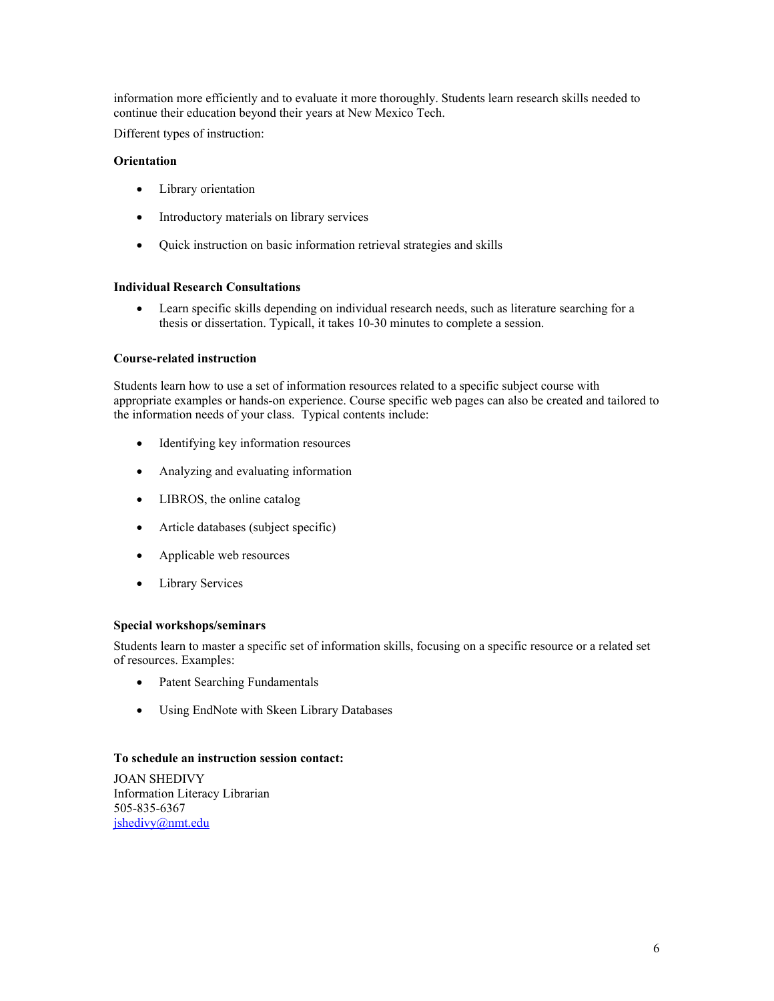information more efficiently and to evaluate it more thoroughly. Students learn research skills needed to continue their education beyond their years at New Mexico Tech.

Different types of instruction:

#### **[Orientation](http://www.nmt.edu/~nmtlib/INFO/instruction.html)**

- Library orientation
- Introductory materials on library services
- Quick instruction on basic information retrieval strategies and skills

#### **[Individual Research](http://www.nmt.edu/~nmtlib/INFO/instruction.html) Consultations**

• Learn specific skills depending on individual research needs, such as literature searching for a thesis or dissertation. Typicall, it takes 10-30 minutes to complete a session.

#### **[Course-related instruction](http://www.nmt.edu/~nmtlib/INFO/instruction.html)**

Students learn how to use a set of information resources related to a specific subject course with appropriate examples or hands-on experience. Course specific web pages can also be created and tailored to the information needs of your class. Typical contents include:

- Identifying key information resources
- Analyzing and evaluating information
- LIBROS, the online catalog
- Article databases (subject specific)
- Applicable web resources
- Library Services

#### **[Special workshops/seminars](http://www.nmt.edu/~nmtlib/INFO/instruction.html)**

Students learn to master a specific set of information skills, focusing on a specific resource or a related set of resources. Examples:

- Patent Searching Fundamentals
- Using EndNote with Skeen Library Databases

#### **To schedule an instruction session contact:**

JOAN SHEDIVY Information Literacy Librarian 505-835-6367 [jshedivy@nmt.edu](mailto:jshedivy@nmt.edu)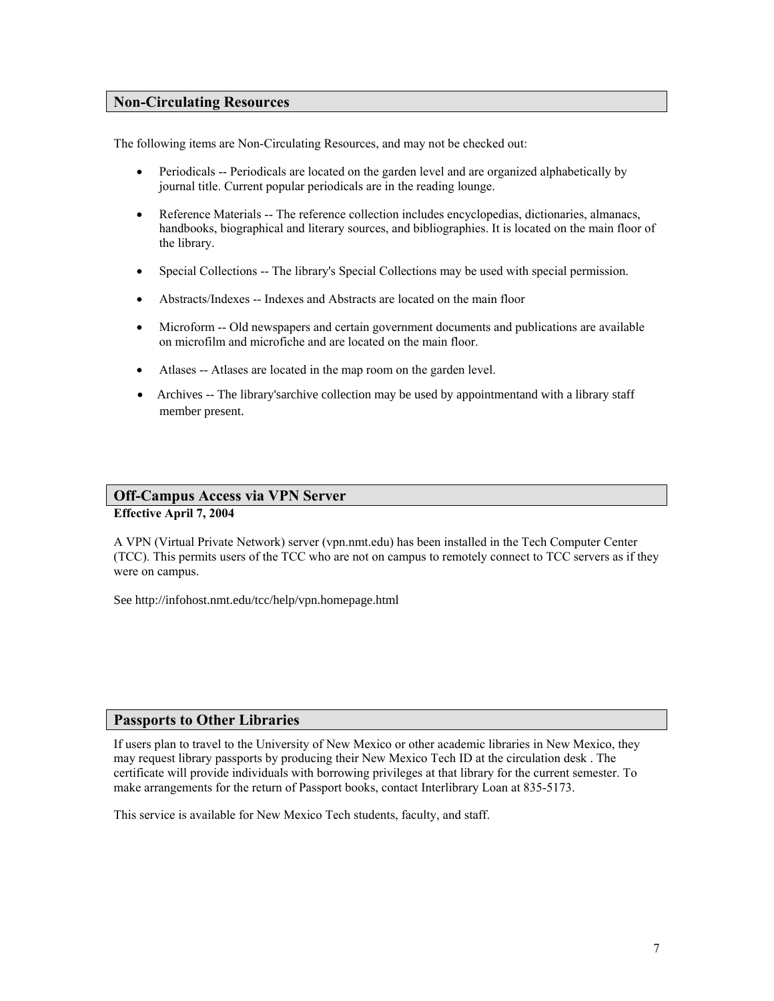# **Non-Circulating Resources**

The following items are Non-Circulating Resources, and may not be checked out:

- Periodicals -- Periodicals are located on the garden level and are organized alphabetically by journal title. Current popular periodicals are in the reading lounge.
- Reference Materials -- The reference collection includes encyclopedias, dictionaries, almanacs, handbooks, biographical and literary sources, and bibliographies. It is located on the main floor of the library.
- Special Collections -- The library's Special Collections may be used with special permission.
- Abstracts/Indexes -- Indexes and Abstracts are located on the main floor
- Microform -- Old newspapers and certain government documents and publications are available on microfilm and microfiche and are located on the main floor.
- Atlases -- Atlases are located in the map room on the garden level.
- Archives -- The library's archive collection may be used by appointmentand with a library staff member present.

# **Off-Campus Access via VPN Server**

**Effective April 7, 2004** 

A VPN (Virtual Private Network) server (vpn.nmt.edu) has been installed in the Tech Computer Center (TCC). This permits users of the TCC who are not on campus to remotely connect to TCC servers as if they were on campus.

See http://infohost.nmt.edu/tcc/help/vpn.homepage.html

#### **Passports to Other Libraries**

If users plan to travel to the University of New Mexico or other academic libraries in New Mexico, they may request library passports by producing their New Mexico Tech ID at the circulation desk . The certificate will provide individuals with borrowing privileges at that library for the current semester. To make arrangements for the return of Passport books, contact Interlibrary Loan at 835-5173.

This service is available for New Mexico Tech students, faculty, and staff.